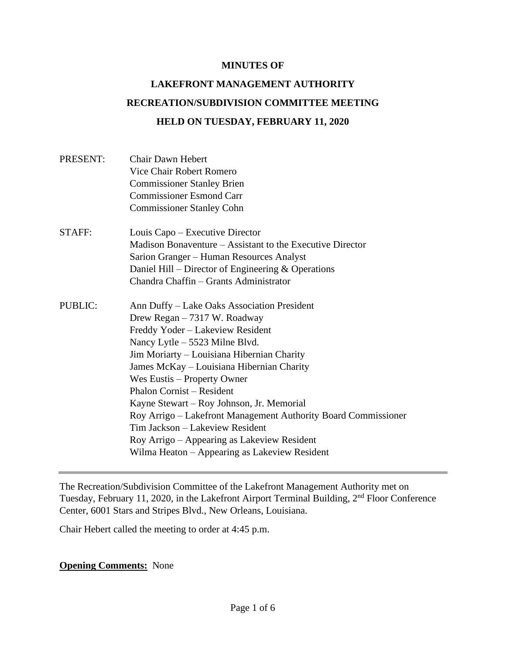#### **MINUTES OF**

# **LAKEFRONT MANAGEMENT AUTHORITY RECREATION/SUBDIVISION COMMITTEE MEETING HELD ON TUESDAY, FEBRUARY 11, 2020**

| PRESENT:       | <b>Chair Dawn Hebert</b><br>Vice Chair Robert Romero<br><b>Commissioner Stanley Brien</b><br><b>Commissioner Esmond Carr</b><br><b>Commissioner Stanley Cohn</b>                                                                                                                                                                                                                                                                                                                                                                                                  |
|----------------|-------------------------------------------------------------------------------------------------------------------------------------------------------------------------------------------------------------------------------------------------------------------------------------------------------------------------------------------------------------------------------------------------------------------------------------------------------------------------------------------------------------------------------------------------------------------|
| STAFF:         | Louis Capo – Executive Director<br>Madison Bonaventure – Assistant to the Executive Director<br>Sarion Granger – Human Resources Analyst<br>Daniel Hill – Director of Engineering $&$ Operations<br>Chandra Chaffin - Grants Administrator                                                                                                                                                                                                                                                                                                                        |
| <b>PUBLIC:</b> | Ann Duffy – Lake Oaks Association President<br>Drew Regan - 7317 W. Roadway<br>Freddy Yoder - Lakeview Resident<br>Nancy Lytle – 5523 Milne Blvd.<br>Jim Moriarty – Louisiana Hibernian Charity<br>James McKay - Louisiana Hibernian Charity<br>Wes Eustis – Property Owner<br><b>Phalon Cornist – Resident</b><br>Kayne Stewart – Roy Johnson, Jr. Memorial<br>Roy Arrigo – Lakefront Management Authority Board Commissioner<br>Tim Jackson - Lakeview Resident<br>Roy Arrigo - Appearing as Lakeview Resident<br>Wilma Heaton – Appearing as Lakeview Resident |

The Recreation/Subdivision Committee of the Lakefront Management Authority met on Tuesday, February 11, 2020, in the Lakefront Airport Terminal Building, 2nd Floor Conference Center, 6001 Stars and Stripes Blvd., New Orleans, Louisiana.

Chair Hebert called the meeting to order at 4:45 p.m.

#### **Opening Comments:** None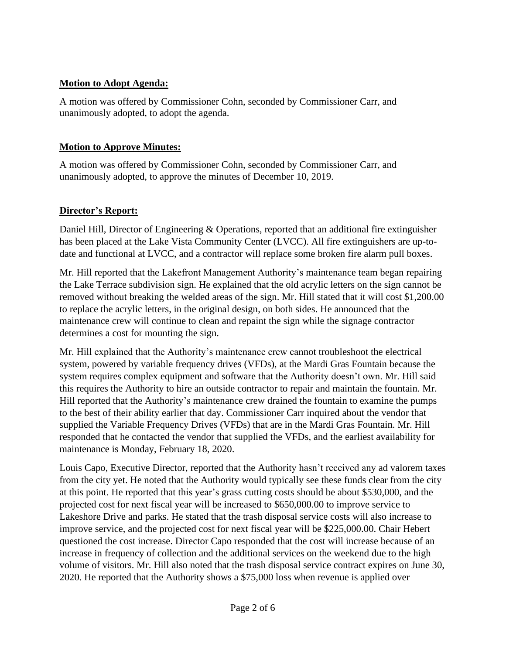## **Motion to Adopt Agenda:**

A motion was offered by Commissioner Cohn, seconded by Commissioner Carr, and unanimously adopted, to adopt the agenda.

#### **Motion to Approve Minutes:**

A motion was offered by Commissioner Cohn, seconded by Commissioner Carr, and unanimously adopted, to approve the minutes of December 10, 2019.

## **Director's Report:**

Daniel Hill, Director of Engineering & Operations, reported that an additional fire extinguisher has been placed at the Lake Vista Community Center (LVCC). All fire extinguishers are up-todate and functional at LVCC, and a contractor will replace some broken fire alarm pull boxes.

Mr. Hill reported that the Lakefront Management Authority's maintenance team began repairing the Lake Terrace subdivision sign. He explained that the old acrylic letters on the sign cannot be removed without breaking the welded areas of the sign. Mr. Hill stated that it will cost \$1,200.00 to replace the acrylic letters, in the original design, on both sides. He announced that the maintenance crew will continue to clean and repaint the sign while the signage contractor determines a cost for mounting the sign.

Mr. Hill explained that the Authority's maintenance crew cannot troubleshoot the electrical system, powered by variable frequency drives (VFDs), at the Mardi Gras Fountain because the system requires complex equipment and software that the Authority doesn't own. Mr. Hill said this requires the Authority to hire an outside contractor to repair and maintain the fountain. Mr. Hill reported that the Authority's maintenance crew drained the fountain to examine the pumps to the best of their ability earlier that day. Commissioner Carr inquired about the vendor that supplied the Variable Frequency Drives (VFDs) that are in the Mardi Gras Fountain. Mr. Hill responded that he contacted the vendor that supplied the VFDs, and the earliest availability for maintenance is Monday, February 18, 2020.

Louis Capo, Executive Director, reported that the Authority hasn't received any ad valorem taxes from the city yet. He noted that the Authority would typically see these funds clear from the city at this point. He reported that this year's grass cutting costs should be about \$530,000, and the projected cost for next fiscal year will be increased to \$650,000.00 to improve service to Lakeshore Drive and parks. He stated that the trash disposal service costs will also increase to improve service, and the projected cost for next fiscal year will be \$225,000.00. Chair Hebert questioned the cost increase. Director Capo responded that the cost will increase because of an increase in frequency of collection and the additional services on the weekend due to the high volume of visitors. Mr. Hill also noted that the trash disposal service contract expires on June 30, 2020. He reported that the Authority shows a \$75,000 loss when revenue is applied over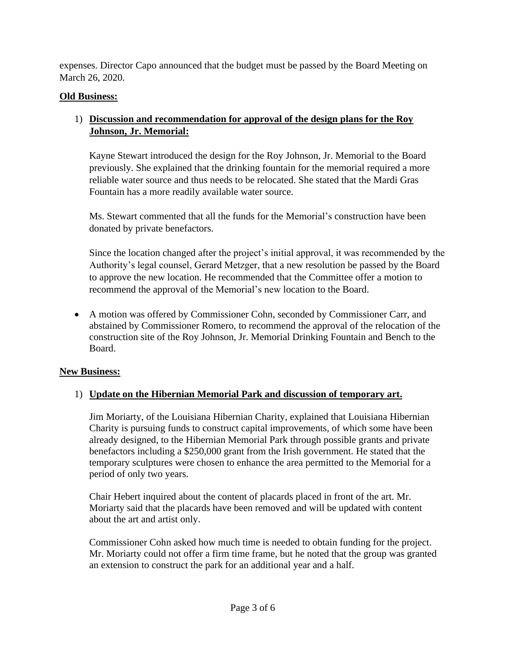expenses. Director Capo announced that the budget must be passed by the Board Meeting on March 26, 2020.

## **Old Business:**

## 1) **Discussion and recommendation for approval of the design plans for the Roy Johnson, Jr. Memorial:**

Kayne Stewart introduced the design for the Roy Johnson, Jr. Memorial to the Board previously. She explained that the drinking fountain for the memorial required a more reliable water source and thus needs to be relocated. She stated that the Mardi Gras Fountain has a more readily available water source.

Ms. Stewart commented that all the funds for the Memorial's construction have been donated by private benefactors.

Since the location changed after the project's initial approval, it was recommended by the Authority's legal counsel, Gerard Metzger, that a new resolution be passed by the Board to approve the new location. He recommended that the Committee offer a motion to recommend the approval of the Memorial's new location to the Board.

• A motion was offered by Commissioner Cohn, seconded by Commissioner Carr, and abstained by Commissioner Romero, to recommend the approval of the relocation of the construction site of the Roy Johnson, Jr. Memorial Drinking Fountain and Bench to the Board.

#### **New Business:**

## 1) **Update on the Hibernian Memorial Park and discussion of temporary art.**

Jim Moriarty, of the Louisiana Hibernian Charity, explained that Louisiana Hibernian Charity is pursuing funds to construct capital improvements, of which some have been already designed, to the Hibernian Memorial Park through possible grants and private benefactors including a \$250,000 grant from the Irish government. He stated that the temporary sculptures were chosen to enhance the area permitted to the Memorial for a period of only two years.

Chair Hebert inquired about the content of placards placed in front of the art. Mr. Moriarty said that the placards have been removed and will be updated with content about the art and artist only.

Commissioner Cohn asked how much time is needed to obtain funding for the project. Mr. Moriarty could not offer a firm time frame, but he noted that the group was granted an extension to construct the park for an additional year and a half.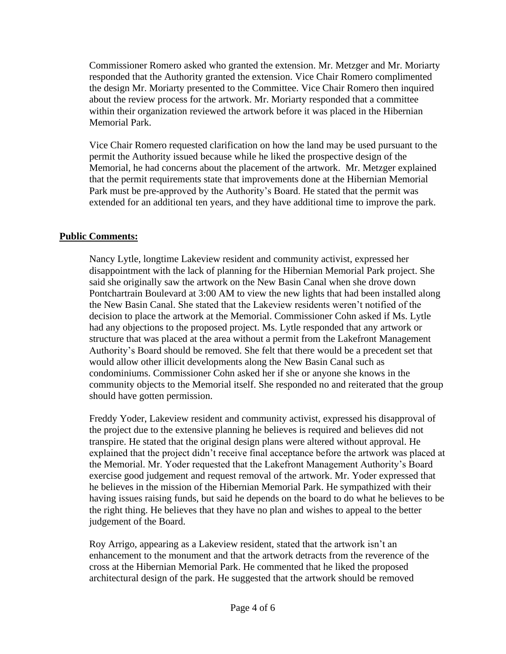Commissioner Romero asked who granted the extension. Mr. Metzger and Mr. Moriarty responded that the Authority granted the extension. Vice Chair Romero complimented the design Mr. Moriarty presented to the Committee. Vice Chair Romero then inquired about the review process for the artwork. Mr. Moriarty responded that a committee within their organization reviewed the artwork before it was placed in the Hibernian Memorial Park.

Vice Chair Romero requested clarification on how the land may be used pursuant to the permit the Authority issued because while he liked the prospective design of the Memorial, he had concerns about the placement of the artwork. Mr. Metzger explained that the permit requirements state that improvements done at the Hibernian Memorial Park must be pre-approved by the Authority's Board. He stated that the permit was extended for an additional ten years, and they have additional time to improve the park.

#### **Public Comments:**

Nancy Lytle, longtime Lakeview resident and community activist, expressed her disappointment with the lack of planning for the Hibernian Memorial Park project. She said she originally saw the artwork on the New Basin Canal when she drove down Pontchartrain Boulevard at 3:00 AM to view the new lights that had been installed along the New Basin Canal. She stated that the Lakeview residents weren't notified of the decision to place the artwork at the Memorial. Commissioner Cohn asked if Ms. Lytle had any objections to the proposed project. Ms. Lytle responded that any artwork or structure that was placed at the area without a permit from the Lakefront Management Authority's Board should be removed. She felt that there would be a precedent set that would allow other illicit developments along the New Basin Canal such as condominiums. Commissioner Cohn asked her if she or anyone she knows in the community objects to the Memorial itself. She responded no and reiterated that the group should have gotten permission.

Freddy Yoder, Lakeview resident and community activist, expressed his disapproval of the project due to the extensive planning he believes is required and believes did not transpire. He stated that the original design plans were altered without approval. He explained that the project didn't receive final acceptance before the artwork was placed at the Memorial. Mr. Yoder requested that the Lakefront Management Authority's Board exercise good judgement and request removal of the artwork. Mr. Yoder expressed that he believes in the mission of the Hibernian Memorial Park. He sympathized with their having issues raising funds, but said he depends on the board to do what he believes to be the right thing. He believes that they have no plan and wishes to appeal to the better judgement of the Board.

Roy Arrigo, appearing as a Lakeview resident, stated that the artwork isn't an enhancement to the monument and that the artwork detracts from the reverence of the cross at the Hibernian Memorial Park. He commented that he liked the proposed architectural design of the park. He suggested that the artwork should be removed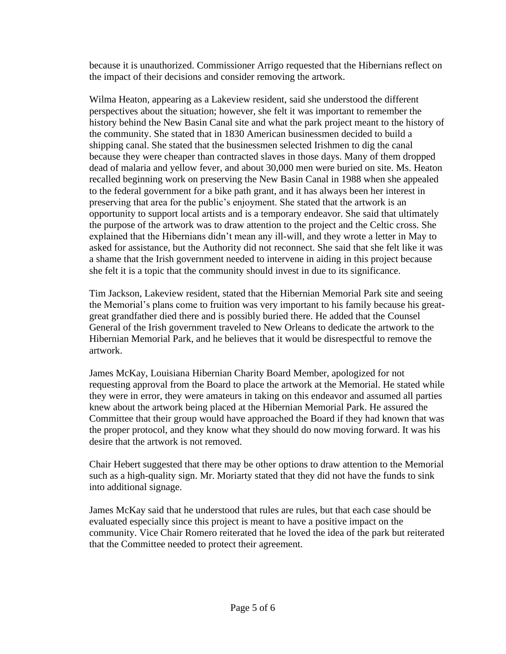because it is unauthorized. Commissioner Arrigo requested that the Hibernians reflect on the impact of their decisions and consider removing the artwork.

Wilma Heaton, appearing as a Lakeview resident, said she understood the different perspectives about the situation; however, she felt it was important to remember the history behind the New Basin Canal site and what the park project meant to the history of the community. She stated that in 1830 American businessmen decided to build a shipping canal. She stated that the businessmen selected Irishmen to dig the canal because they were cheaper than contracted slaves in those days. Many of them dropped dead of malaria and yellow fever, and about 30,000 men were buried on site. Ms. Heaton recalled beginning work on preserving the New Basin Canal in 1988 when she appealed to the federal government for a bike path grant, and it has always been her interest in preserving that area for the public's enjoyment. She stated that the artwork is an opportunity to support local artists and is a temporary endeavor. She said that ultimately the purpose of the artwork was to draw attention to the project and the Celtic cross. She explained that the Hibernians didn't mean any ill-will, and they wrote a letter in May to asked for assistance, but the Authority did not reconnect. She said that she felt like it was a shame that the Irish government needed to intervene in aiding in this project because she felt it is a topic that the community should invest in due to its significance.

Tim Jackson, Lakeview resident, stated that the Hibernian Memorial Park site and seeing the Memorial's plans come to fruition was very important to his family because his greatgreat grandfather died there and is possibly buried there. He added that the Counsel General of the Irish government traveled to New Orleans to dedicate the artwork to the Hibernian Memorial Park, and he believes that it would be disrespectful to remove the artwork.

James McKay, Louisiana Hibernian Charity Board Member, apologized for not requesting approval from the Board to place the artwork at the Memorial. He stated while they were in error, they were amateurs in taking on this endeavor and assumed all parties knew about the artwork being placed at the Hibernian Memorial Park. He assured the Committee that their group would have approached the Board if they had known that was the proper protocol, and they know what they should do now moving forward. It was his desire that the artwork is not removed.

Chair Hebert suggested that there may be other options to draw attention to the Memorial such as a high-quality sign. Mr. Moriarty stated that they did not have the funds to sink into additional signage.

James McKay said that he understood that rules are rules, but that each case should be evaluated especially since this project is meant to have a positive impact on the community. Vice Chair Romero reiterated that he loved the idea of the park but reiterated that the Committee needed to protect their agreement.